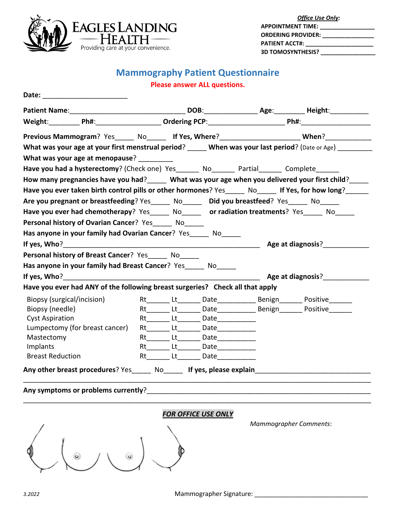

| <b>Office Use Only:</b>                                                                                                                                                                                                        |  |  |  |
|--------------------------------------------------------------------------------------------------------------------------------------------------------------------------------------------------------------------------------|--|--|--|
| <b>APPOINTMENT TIME:</b><br>the control of the control of the control of the                                                                                                                                                   |  |  |  |
| ORDERING PROVIDER: ________________                                                                                                                                                                                            |  |  |  |
| PATIENT ACCT#: The contract of the contract of the contract of the contract of the contract of the contract of the contract of the contract of the contract of the contract of the contract of the contract of the contract of |  |  |  |
| <b>3D TOMOSYNTHESIS?</b>                                                                                                                                                                                                       |  |  |  |

## **Mammography Patient Questionnaire**

#### **Please answer ALL questions.**

| Previous Mammogram? Yes_____ No_____ If Yes, Where?_______________________ When?____________________ |  |                                           |                            |
|------------------------------------------------------------------------------------------------------|--|-------------------------------------------|----------------------------|
| What was your age at your first menstrual period? When was your last period? (Date or Age)           |  |                                           |                            |
| What was your age at menopause?                                                                      |  |                                           |                            |
| Have you had a hysterectomy? (Check one) Yes _______ No _______ Partial ______ Complete ______       |  |                                           |                            |
| How many pregnancies have you had?_____ What was your age when you delivered your first child?_____  |  |                                           |                            |
| Have you ever taken birth control pills or other hormones? Yes No If Yes, for how long?              |  |                                           |                            |
| Are you pregnant or breastfeeding? Yes_____ No_____ Did you breastfeed? Yes_____ No_____             |  |                                           |                            |
| Have you ever had chemotherapy? Yes_____ No_____ or radiation treatments? Yes_____ No_____           |  |                                           |                            |
| Personal history of Ovarian Cancer? Yes______ No_____                                                |  |                                           |                            |
| Has anyone in your family had Ovarian Cancer? Yes No                                                 |  |                                           |                            |
|                                                                                                      |  |                                           | Age at diagnosis?          |
| <b>Personal history of Breast Cancer?</b> Yes No                                                     |  |                                           |                            |
| Has anyone in your family had Breast Cancer? Yes ______ No_____                                      |  |                                           |                            |
|                                                                                                      |  |                                           |                            |
| Have you ever had ANY of the following breast surgeries? Check all that apply                        |  |                                           |                            |
| Biopsy (surgical/incision)                                                                           |  |                                           | Rt Lt Date Benign Positive |
| Biopsy (needle)                                                                                      |  |                                           |                            |
| <b>Cyst Aspiration</b>                                                                               |  | Rt_______ Lt_______ Date____________      |                            |
| Lumpectomy (for breast cancer)                                                                       |  | Rt_________Lt__________ Date_____________ |                            |
| Mastectomy                                                                                           |  | Rt________ Lt________ Date_____________   |                            |
| Implants                                                                                             |  | Rt Lt Date                                |                            |
| <b>Breast Reduction</b>                                                                              |  | Rt Lt Date                                |                            |
| Any other breast procedures? Yes _______ No ______ If yes, please explain                            |  |                                           |                            |

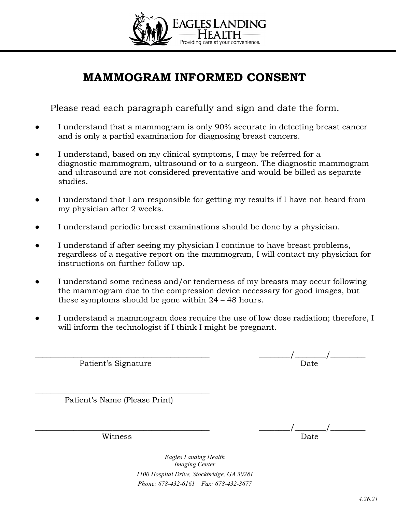

# **MAMMOGRAM INFORMED CONSENT**

Please read each paragraph carefully and sign and date the form.

- I understand that a mammogram is only 90% accurate in detecting breast cancer and is only a partial examination for diagnosing breast cancers.
- I understand, based on my clinical symptoms, I may be referred for a diagnostic mammogram, ultrasound or to a surgeon. The diagnostic mammogram and ultrasound are not considered preventative and would be billed as separate studies.
- I understand that I am responsible for getting my results if I have not heard from my physician after 2 weeks.
- I understand periodic breast examinations should be done by a physician.
- I understand if after seeing my physician I continue to have breast problems, regardless of a negative report on the mammogram, I will contact my physician for instructions on further follow up.
- I understand some redness and/or tenderness of my breasts may occur following the mammogram due to the compression device necessary for good images, but these symptoms should be gone within 24 – 48 hours.
- I understand a mammogram does require the use of low dose radiation; therefore, I will inform the technologist if I think I might be pregnant.

| Patient's Signature | Date |
|---------------------|------|

\_\_\_\_\_\_\_\_\_\_\_\_\_\_\_\_\_\_\_\_\_\_\_\_\_\_\_\_\_\_\_\_\_\_\_\_\_\_\_\_\_\_\_\_\_ Patient's Name (Please Print)

\_\_\_\_\_\_\_\_\_\_\_\_\_\_\_\_\_\_\_\_\_\_\_\_\_\_\_\_\_\_\_\_\_\_\_\_\_\_\_\_\_\_\_\_\_ \_\_\_\_\_\_\_\_/\_\_\_\_\_\_\_\_/\_\_\_\_\_\_\_\_\_ witness **Date** 

> *Eagles Landing Health Imaging Center 1100 Hospital Drive, Stockbridge, GA 30281 Phone: 678-432-6161 Fax: 678-432-3677*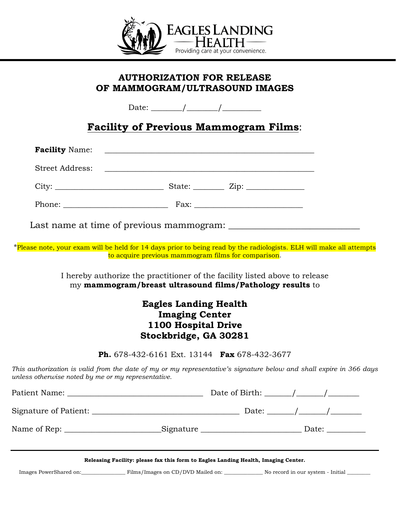

### **AUTHORIZATION FOR RELEASE OF MAMMOGRAM/ULTRASOUND IMAGES**

Date: \_\_\_\_\_\_\_\_/\_\_\_\_\_\_\_\_/\_\_\_\_\_\_\_\_\_\_

### **Facility of Previous Mammogram Films**:

| Last name at time of previous mammogram: |
|------------------------------------------|

\*Please note, your exam will be held for 14 days prior to being read by the radiologists. ELH will make all attempts

to acquire previous mammogram films for comparison.

I hereby authorize the practitioner of the facility listed above to release my **mammogram/breast ultrasound films/Pathology results** to

### **Eagles Landing Health Imaging Center 1100 Hospital Drive Stockbridge, GA 30281**

**Ph.** 678-432-6161 Ext. 13144 **Fax** 678-432-3677

*This authorization is valid from the date of my or my representative's signature below and shall expire in 366 days unless otherwise noted by me or my representative.*

|                                                                                    |  | Date of Birth: $\frac{\sqrt{2\pi}}{2\pi}$                                                                                                                                                                                                                                                                                                                                                                                |  |  |  |  |
|------------------------------------------------------------------------------------|--|--------------------------------------------------------------------------------------------------------------------------------------------------------------------------------------------------------------------------------------------------------------------------------------------------------------------------------------------------------------------------------------------------------------------------|--|--|--|--|
|                                                                                    |  | Date: $\frac{1}{\sqrt{1-\frac{1}{2}}}\frac{1}{\sqrt{1-\frac{1}{2}}}\frac{1}{\sqrt{1-\frac{1}{2}}}\frac{1}{\sqrt{1-\frac{1}{2}}}\frac{1}{\sqrt{1-\frac{1}{2}}}\frac{1}{\sqrt{1-\frac{1}{2}}}\frac{1}{\sqrt{1-\frac{1}{2}}}\frac{1}{\sqrt{1-\frac{1}{2}}}\frac{1}{\sqrt{1-\frac{1}{2}}}\frac{1}{\sqrt{1-\frac{1}{2}}}\frac{1}{\sqrt{1-\frac{1}{2}}}\frac{1}{\sqrt{1-\frac{1}{2}}}\frac{1}{\sqrt{1-\frac{1}{2}}}\frac{1}{\$ |  |  |  |  |
|                                                                                    |  |                                                                                                                                                                                                                                                                                                                                                                                                                          |  |  |  |  |
| Releasing Facility: please fax this form to Eagles Landing Health, Imaging Center. |  |                                                                                                                                                                                                                                                                                                                                                                                                                          |  |  |  |  |
|                                                                                    |  | Images PowerShared on: Films/Images on CD/DVD Mailed on: No record in our system - Initial                                                                                                                                                                                                                                                                                                                               |  |  |  |  |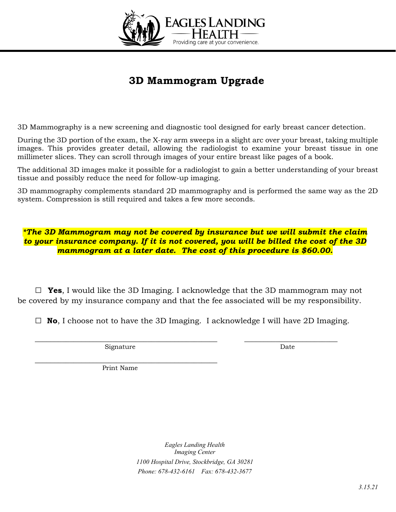

## **3D Mammogram Upgrade**

3D Mammography is a new screening and diagnostic tool designed for early breast cancer detection.

During the 3D portion of the exam, the X-ray arm sweeps in a slight arc over your breast, taking multiple images. This provides greater detail, allowing the radiologist to examine your breast tissue in one millimeter slices. They can scroll through images of your entire breast like pages of a book.

The additional 3D images make it possible for a radiologist to gain a better understanding of your breast tissue and possibly reduce the need for follow-up imaging.

3D mammography complements standard 2D mammography and is performed the same way as the 2D system. Compression is still required and takes a few more seconds.

*\*The 3D Mammogram may not be covered by insurance but we will submit the claim to your insurance company. If it is not covered, you will be billed the cost of the 3D mammogram at a later date. The cost of this procedure is \$60.00.*

**□ Yes**, I would like the 3D Imaging. I acknowledge that the 3D mammogram may not be covered by my insurance company and that the fee associated will be my responsibility.

**□ No**, I choose not to have the 3D Imaging. I acknowledge I will have 2D Imaging.

\_\_\_\_\_\_\_\_\_\_\_\_\_\_\_\_\_\_\_\_\_\_\_\_\_\_\_\_\_\_\_\_\_\_\_\_\_\_\_\_\_\_\_\_\_\_\_ \_\_\_\_\_\_\_\_\_\_\_\_\_\_\_\_\_\_\_\_\_\_\_\_

Signature Date

\_\_\_\_\_\_\_\_\_\_\_\_\_\_\_\_\_\_\_\_\_\_\_\_\_\_\_\_\_\_\_\_\_\_\_\_\_\_\_\_\_\_\_\_\_\_\_ Print Name

> *Eagles Landing Health Imaging Center 1100 Hospital Drive, Stockbridge, GA 30281 Phone: 678-432-6161 Fax: 678-432-3677*